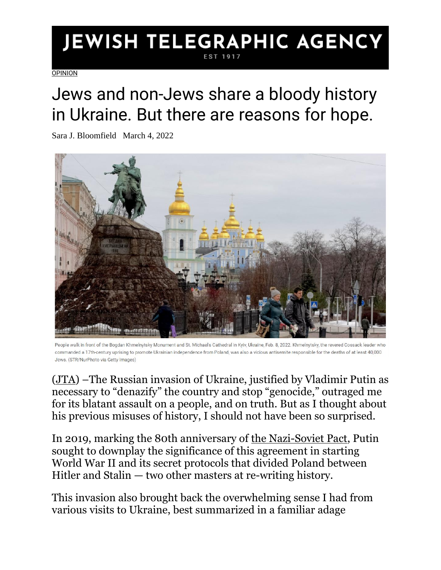## JEWISH TELEGRAPHIC AGENCY EST 1917

**[OPINION](https://www.jta.org/category/opinion)** 

## Jews and non-Jews share a bloody history in Ukraine. But there are reasons for hope.

Sara J. Bloomfield March 4, 2022



People walk in front of the Bogdan Khmelnytsky Monument and St. Michael's Cathedral in Kyiv, Ukraine, Feb. 8, 2022. Khmelnytsky, the revered Cossack leader who commanded a 17th-century uprising to promote Ukrainian independence from Poland, was also a vicious antisemite responsible for the deaths of at least 40,000 Jews. (STR/NurPhoto via Getty Images)

[\(JTA\)](http://www.jta.org/) –The Russian invasion of Ukraine, justified by Vladimir Putin as necessary to "denazify" the country and stop "genocide," outraged me for its blatant assault on a people, and on truth. But as I thought about his previous misuses of history, I should not have been so surprised.

In 2019, marking the 80th anniversary of [the Nazi-Soviet Pact,](https://encyclopedia.ushmm.org/content/en/article/german-soviet-pact) Putin sought to downplay the significance of this agreement in starting World War II and its secret protocols that divided Poland between Hitler and Stalin — two other masters at re-writing history.

This invasion also brought back the overwhelming sense I had from various visits to Ukraine, best summarized in a familiar adage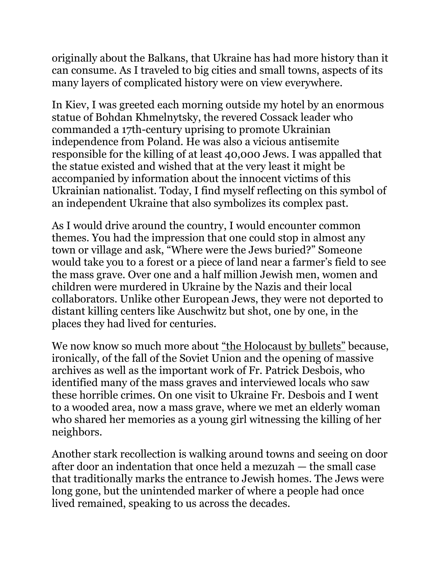originally about the Balkans, that Ukraine has had more history than it can consume. As I traveled to big cities and small towns, aspects of its many layers of complicated history were on view everywhere.

In Kiev, I was greeted each morning outside my hotel by an enormous statue of Bohdan Khmelnytsky, the revered Cossack leader who commanded a 17th-century uprising to promote Ukrainian independence from Poland. He was also a vicious antisemite responsible for the killing of at least 40,000 Jews. I was appalled that the statue existed and wished that at the very least it might be accompanied by information about the innocent victims of this Ukrainian nationalist. Today, I find myself reflecting on this symbol of an independent Ukraine that also symbolizes its complex past.

As I would drive around the country, I would encounter common themes. You had the impression that one could stop in almost any town or village and ask, "Where were the Jews buried?" Someone would take you to a forest or a piece of land near a farmer's field to see the mass grave. Over one and a half million Jewish men, women and children were murdered in Ukraine by the Nazis and their local collaborators. Unlike other European Jews, they were not deported to distant killing centers like Auschwitz but shot, one by one, in the places they had lived for centuries.

We now know so much more about ["the Holocaust by bullets"](https://www.ushmm.org/information/exhibitions/online-exhibitions/special-focus/desbois) because, ironically, of the fall of the Soviet Union and the opening of massive archives as well as the important work of Fr. Patrick Desbois, who identified many of the mass graves and interviewed locals who saw these horrible crimes. On one visit to Ukraine Fr. Desbois and I went to a wooded area, now a mass grave, where we met an elderly woman who shared her memories as a young girl witnessing the killing of her neighbors.

Another stark recollection is walking around towns and seeing on door after door an indentation that once held a mezuzah — the small case that traditionally marks the entrance to Jewish homes. The Jews were long gone, but the unintended marker of where a people had once lived remained, speaking to us across the decades.